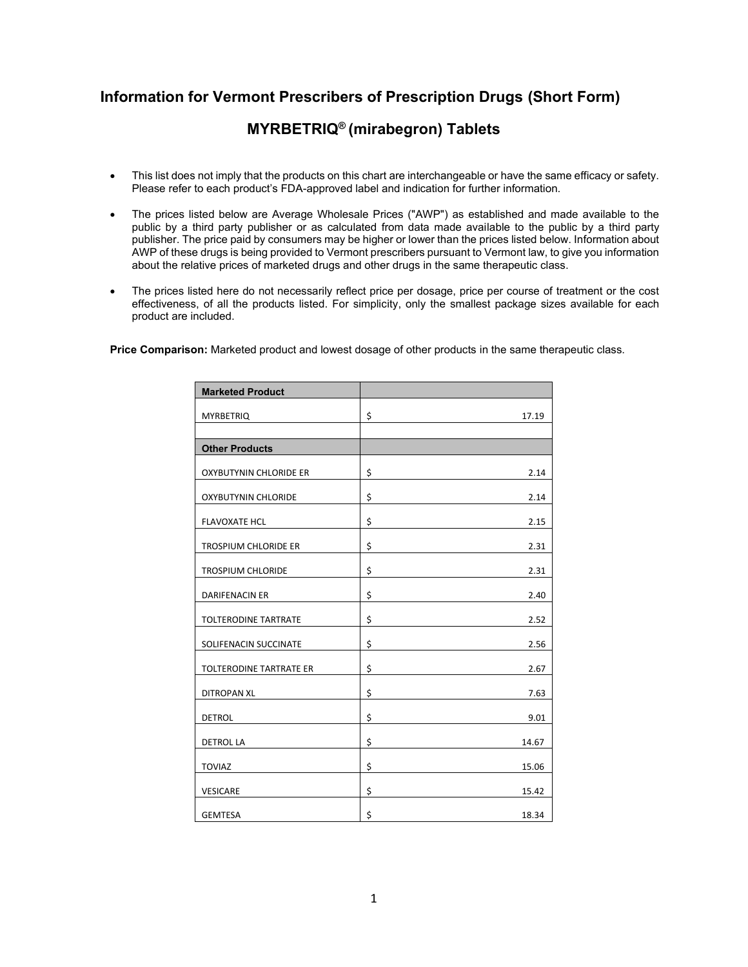## **Information for Vermont Prescribers of Prescription Drugs (Short Form)**

## **MYRBETRIQ® (mirabegron) Tablets**

- This list does not imply that the products on this chart are interchangeable or have the same efficacy or safety. Please refer to each product's FDA-approved label and indication for further information.
- The prices listed below are Average Wholesale Prices ("AWP") as established and made available to the public by a third party publisher or as calculated from data made available to the public by a third party publisher. The price paid by consumers may be higher or lower than the prices listed below. Information about AWP of these drugs is being provided to Vermont prescribers pursuant to Vermont law, to give you information about the relative prices of marketed drugs and other drugs in the same therapeutic class.
- The prices listed here do not necessarily reflect price per dosage, price per course of treatment or the cost effectiveness, of all the products listed. For simplicity, only the smallest package sizes available for each product are included.

**Price Comparison:** Marketed product and lowest dosage of other products in the same therapeutic class.

| <b>Marketed Product</b>    |             |
|----------------------------|-------------|
| <b>MYRBETRIQ</b>           | \$<br>17.19 |
|                            |             |
| <b>Other Products</b>      |             |
| OXYBUTYNIN CHLORIDE ER     | \$<br>2.14  |
| <b>OXYBUTYNIN CHLORIDE</b> | \$<br>2.14  |
| <b>FLAVOXATE HCL</b>       | \$<br>2.15  |
| TROSPIUM CHLORIDE ER       | \$<br>2.31  |
| <b>TROSPIUM CHLORIDE</b>   | \$<br>2.31  |
| <b>DARIFENACIN ER</b>      | \$<br>2.40  |
| TOLTERODINE TARTRATE       | \$<br>2.52  |
| SOLIFENACIN SUCCINATE      | \$<br>2.56  |
| TOLTERODINE TARTRATE ER    | \$<br>2.67  |
| <b>DITROPAN XL</b>         | \$<br>7.63  |
| <b>DETROL</b>              | \$<br>9.01  |
| <b>DETROL LA</b>           | \$<br>14.67 |
| <b>TOVIAZ</b>              | \$<br>15.06 |
| <b>VESICARE</b>            | \$<br>15.42 |
| <b>GEMTESA</b>             | \$<br>18.34 |